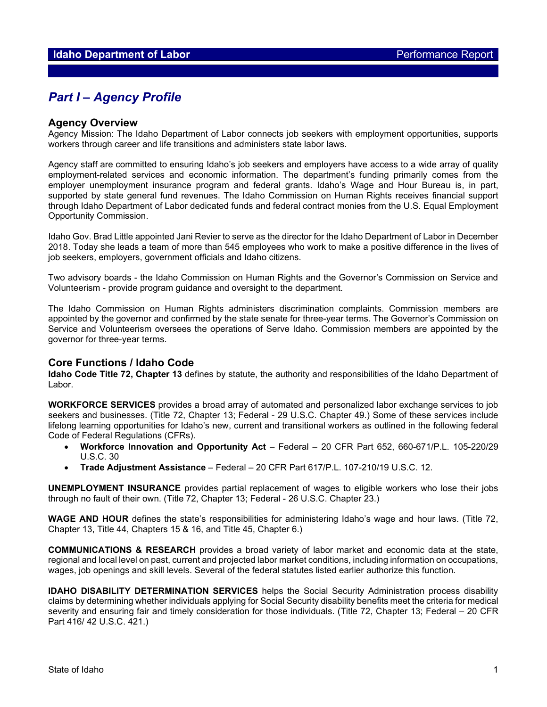## *Part I – Agency Profile*

### **Agency Overview**

Agency Mission: The Idaho Department of Labor connects job seekers with employment opportunities, supports workers through career and life transitions and administers state labor laws.

Agency staff are committed to ensuring Idaho's job seekers and employers have access to a wide array of quality employment-related services and economic information. The department's funding primarily comes from the employer unemployment insurance program and federal grants. Idaho's Wage and Hour Bureau is, in part, supported by state general fund revenues. The Idaho Commission on Human Rights receives financial support through Idaho Department of Labor dedicated funds and federal contract monies from the U.S. Equal Employment Opportunity Commission.

Idaho Gov. Brad Little appointed Jani Revier to serve as the director for the Idaho Department of Labor in December 2018. Today she leads a team of more than 545 employees who work to make a positive difference in the lives of job seekers, employers, government officials and Idaho citizens.

Two advisory boards - the Idaho Commission on Human Rights and the Governor's Commission on Service and Volunteerism - provide program guidance and oversight to the department.

The Idaho Commission on Human Rights administers discrimination complaints. Commission members are appointed by the governor and confirmed by the state senate for three-year terms. The Governor's Commission on Service and Volunteerism oversees the operations of Serve Idaho. Commission members are appointed by the governor for three-year terms.

### **Core Functions / Idaho Code**

**Idaho Code Title 72, Chapter 13** defines by statute, the authority and responsibilities of the Idaho Department of Labor.

**WORKFORCE SERVICES** provides a broad array of automated and personalized labor exchange services to job seekers and businesses. (Title 72, Chapter 13; Federal - 29 U.S.C. Chapter 49.) Some of these services include lifelong learning opportunities for Idaho's new, current and transitional workers as outlined in the following federal Code of Federal Regulations (CFRs).

- **Workforce Innovation and Opportunity Act**  Federal 20 CFR Part 652, 660-671/P.L. 105-220/29 U.S.C. 30
- **Trade Adjustment Assistance**  Federal 20 CFR Part 617/P.L. 107-210/19 U.S.C. 12.

**UNEMPLOYMENT INSURANCE** provides partial replacement of wages to eligible workers who lose their jobs through no fault of their own. (Title 72, Chapter 13; Federal - 26 U.S.C. Chapter 23.)

**WAGE AND HOUR** defines the state's responsibilities for administering Idaho's wage and hour laws. (Title 72, Chapter 13, Title 44, Chapters 15 & 16, and Title 45, Chapter 6.)

**COMMUNICATIONS & RESEARCH** provides a broad variety of labor market and economic data at the state, regional and local level on past, current and projected labor market conditions, including information on occupations, wages, job openings and skill levels. Several of the federal statutes listed earlier authorize this function.

**IDAHO DISABILITY DETERMINATION SERVICES** helps the Social Security Administration process disability claims by determining whether individuals applying for Social Security disability benefits meet the criteria for medical severity and ensuring fair and timely consideration for those individuals. (Title 72, Chapter 13; Federal – 20 CFR Part 416/ 42 U.S.C. 421.)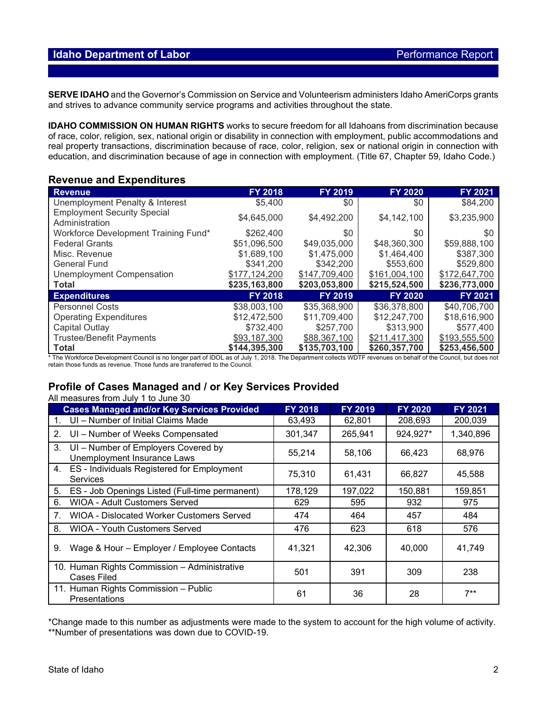### **Idaho Department of Labor Performance Report Performance Report**

**SERVE IDAHO** and the Governor's Commission on Service and Volunteerism administers Idaho AmeriCorps grants and strives to advance community service programs and activities throughout the state.

**IDAHO COMMISSION ON HUMAN RIGHTS** works to secure freedom for all Idahoans from discrimination because of race, color, religion, sex, national origin or disability in connection with employment, public accommodations and real property transactions, discrimination because of race, color, religion, sex or national origin in connection with education, and discrimination because of age in connection with employment. (Title 67, Chapter 59, Idaho Code.)

### **Revenue and Expenditures**

| <b>Revenue</b>                                       | <b>FY 2018</b> | <b>FY 2019</b> | <b>FY 2020</b> | <b>FY 2021</b> |
|------------------------------------------------------|----------------|----------------|----------------|----------------|
| Unemployment Penalty & Interest                      | \$5,400        | \$0            | \$0            | \$84,200       |
| <b>Employment Security Special</b><br>Administration | \$4,645,000    | \$4,492,200    | \$4,142,100    | \$3,235,900    |
| Workforce Development Training Fund*                 | \$262,400      | \$0            | \$0            | \$0            |
| <b>Federal Grants</b>                                | \$51,096,500   | \$49,035,000   | \$48,360,300   | \$59,888,100   |
| Misc. Revenue                                        | \$1,689,100    | \$1,475,000    | \$1,464,400    | \$387,300      |
| <b>General Fund</b>                                  | \$341,200      | \$342,200      | \$553,600      | \$529,800      |
| <b>Unemployment Compensation</b>                     | \$177,124,200  | \$147,709,400  | \$161,004,100  | \$172,647,700  |
| <b>Total</b>                                         | \$235,163,800  | \$203,053,800  | \$215,524,500  | \$236,773,000  |
| <b>Expenditures</b>                                  | <b>FY 2018</b> | <b>FY 2019</b> | <b>FY 2020</b> | FY 2021        |
| <b>Personnel Costs</b>                               | \$38,003,100   | \$35,368,900   | \$36,378,800   | \$40,706,700   |
| <b>Operating Expenditures</b>                        | \$12,472,500   | \$11,709,400   | \$12,247,700   | \$18,616,900   |
| Capital Outlay                                       | \$732,400      | \$257,700      | \$313,900      | \$577,400      |
| <b>Trustee/Benefit Payments</b>                      | \$93,187,300   | \$88,367,100   | \$211,417,300  | \$193,555,500  |
| <b>Total</b>                                         | \$144,395,300  | \$135,703,100  | \$260,357,700  | \$253,456,500  |

\* The Workforce Development Council is no longer part of IDOL as of July 1, 2018. The Department collects WDTF revenues on behalf of the Council, but does not retain those funds as revenue. Those funds are transferred to the Council.

#### **Profile of Cases Managed and / or Key Services Provided** All measures from July 1 to June 30

| All incasules from July T to Julie 50                                    |                |                |                |                |  |  |  |  |
|--------------------------------------------------------------------------|----------------|----------------|----------------|----------------|--|--|--|--|
| <b>Cases Managed and/or Key Services Provided</b>                        | <b>FY 2018</b> | <b>FY 2019</b> | <b>FY 2020</b> | <b>FY 2021</b> |  |  |  |  |
| UI - Number of Initial Claims Made                                       | 63,493         | 62,801         | 208,693        | 200,039        |  |  |  |  |
| UI - Number of Weeks Compensated<br>2.                                   | 301,347        | 265,941        | 924,927*       | 1,340,896      |  |  |  |  |
| UI - Number of Employers Covered by<br>3.<br>Unemployment Insurance Laws | 55,214         | 58,106         | 66,423         | 68,976         |  |  |  |  |
| 4. ES - Individuals Registered for Employment<br><b>Services</b>         | 75,310         | 61,431         | 66,827         | 45,588         |  |  |  |  |
| 5. ES - Job Openings Listed (Full-time permanent)                        | 178,129        | 197,022        | 150,881        | 159,851        |  |  |  |  |
| <b>WIOA - Adult Customers Served</b><br>6.                               | 629            | 595            | 932            | 975            |  |  |  |  |
| <b>WIOA - Dislocated Worker Customers Served</b><br>7.                   | 474            | 464            | 457            | 484            |  |  |  |  |
| <b>WIOA - Youth Customers Served</b><br>8.                               | 476            | 623            | 618            | 576            |  |  |  |  |
| Wage & Hour - Employer / Employee Contacts<br>9.                         | 41,321         | 42,306         | 40,000         | 41,749         |  |  |  |  |
| 10. Human Rights Commission - Administrative<br><b>Cases Filed</b>       | 501            | 391            | 309            | 238            |  |  |  |  |
| 11. Human Rights Commission - Public<br><b>Presentations</b>             | 61             | 36             | 28             | $7^{**}$       |  |  |  |  |

\*Change made to this number as adjustments were made to the system to account for the high volume of activity. \*\*Number of presentations was down due to COVID-19.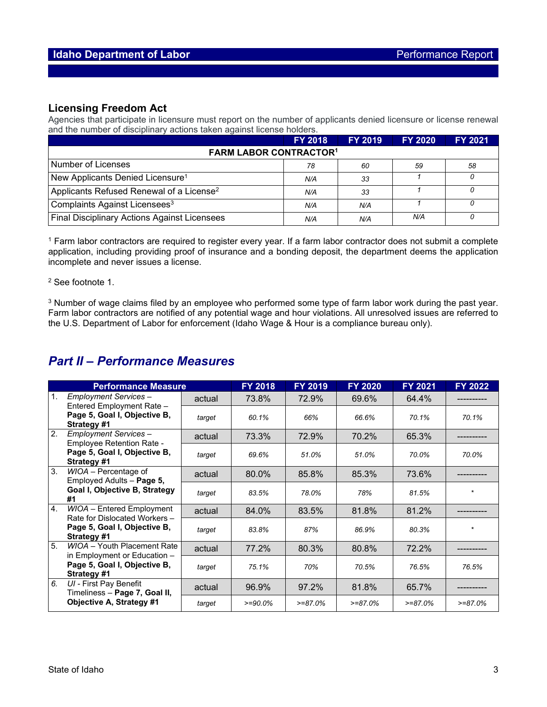### **Licensing Freedom Act**

Agencies that participate in licensure must report on the number of applicants denied licensure or license renewal and the number of disciplinary actions taken against license holders.

|                                                      | <b>FY 2018</b> | <b>FY 2019</b> | <b>FY 2020</b> | <b>FY 2021</b> |  |  |  |
|------------------------------------------------------|----------------|----------------|----------------|----------------|--|--|--|
| <b>FARM LABOR CONTRACTOR1</b>                        |                |                |                |                |  |  |  |
| Number of Licenses                                   | 78             | 60             | 59             | 58             |  |  |  |
| New Applicants Denied Licensure <sup>1</sup>         | N/A            | 33             |                |                |  |  |  |
| Applicants Refused Renewal of a License <sup>2</sup> | N/A            | -33            |                |                |  |  |  |
| Complaints Against Licensees <sup>3</sup>            | N/A            | N/A            |                |                |  |  |  |
| <b>Final Disciplinary Actions Against Licensees</b>  | N/A            | N/A            | N/A            |                |  |  |  |

<sup>1</sup> Farm labor contractors are required to register every year. If a farm labor contractor does not submit a complete application, including providing proof of insurance and a bonding deposit, the department deems the application incomplete and never issues a license.

#### <sup>2</sup> See footnote 1.

<sup>3</sup> Number of wage claims filed by an employee who performed some type of farm labor work during the past year. Farm labor contractors are notified of any potential wage and hour violations. All unresolved issues are referred to the U.S. Department of Labor for enforcement (Idaho Wage & Hour is a compliance bureau only).

# *Part II – Performance Measures*

| <b>Performance Measure</b> |                                                                                                   |        | <b>FY 2018</b> | <b>FY 2019</b> | <b>FY 2020</b> | FY 2021    | <b>FY 2022</b> |
|----------------------------|---------------------------------------------------------------------------------------------------|--------|----------------|----------------|----------------|------------|----------------|
| $\mathbf{1}$ .             | Employment Services -<br>Entered Employment Rate -                                                | actual | 73.8%          | 72.9%          | 69.6%          | 64.4%      |                |
|                            | Page 5, Goal I, Objective B,<br>Strategy #1                                                       | target | 60.1%          | 66%            | 66.6%          | 70.1%      | 70.1%          |
| 2.                         | Employment Services -<br>Employee Retention Rate -<br>Page 5, Goal I, Objective B,<br>Strategy #1 | actual | 73.3%          | 72.9%          | 70.2%          | 65.3%      |                |
|                            |                                                                                                   | target | 69.6%          | 51.0%          | 51.0%          | 70.0%      | 70.0%          |
| 3.                         | WIOA - Percentage of<br>Employed Adults - Page 5,                                                 | actual | 80.0%          | 85.8%          | 85.3%          | 73.6%      |                |
|                            | Goal I, Objective B, Strategy<br>#1                                                               | target | 83.5%          | 78.0%          | 78%            | 81.5%      | $\star$        |
| 4.<br><b>Strategy #1</b>   | WIOA - Entered Employment<br>Rate for Dislocated Workers -                                        | actual | 84.0%          | 83.5%          | 81.8%          | 81.2%      |                |
|                            | Page 5, Goal I, Objective B,                                                                      | target | 83.8%          | 87%            | 86.9%          | 80.3%      | $\star$        |
| 5.                         | WIOA - Youth Placement Rate<br>in Employment or Education -                                       | actual | 77.2%          | 80.3%          | 80.8%          | 72.2%      |                |
| Strategy #1                | Page 5, Goal I, Objective B,                                                                      | target | 75.1%          | 70%            | 70.5%          | 76.5%      | 76.5%          |
| 6.                         | UI - First Pay Benefit<br>Timeliness - Page 7, Goal II,<br>Objective A, Strategy #1               | actual | 96.9%          | 97.2%          | 81.8%          | 65.7%      |                |
|                            |                                                                                                   | target | $>=90.0%$      | $>= 87.0%$     | $>= 87.0%$     | $>= 87.0%$ | $>= 87.0%$     |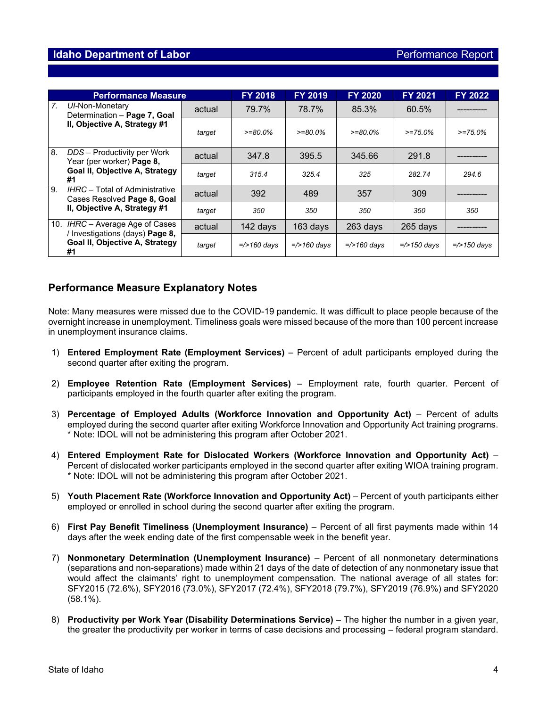|    | <b>Performance Measure</b>                                                                                    |        | <b>FY 2018</b> | <b>FY 2019</b>     | <b>FY 2020</b>     | <b>FY 2021</b>     | <b>FY 2022</b>     |
|----|---------------------------------------------------------------------------------------------------------------|--------|----------------|--------------------|--------------------|--------------------|--------------------|
| 7. | UI-Non-Monetary<br>Determination - Page 7, Goal<br>II, Objective A, Strategy #1                               | actual | 79.7%          | 78.7%              | 85.3%              | 60.5%              |                    |
|    |                                                                                                               | target | $>=80.0\%$     | $>= 80.0\%$        | $>= 80.0\%$        | $>= 75.0\%$        | $>= 75.0%$         |
| 8. | DDS - Productivity per Work<br>Year (per worker) Page 8,<br>Goal II, Objective A, Strategy<br>#1              | actual | 347.8          | 395.5              | 345.66             | 291.8              |                    |
|    |                                                                                                               | target | 315.4          | 325.4              | 325                | 282 74             | 294.6              |
| 9. | IHRC - Total of Administrative<br>Cases Resolved Page 8, Goal<br>II, Objective A, Strategy #1                 | actual | 392            | 489                | 357                | 309                |                    |
|    |                                                                                                               | target | 350            | 350                | 350                | 350                | 350                |
|    | IHRC – Average Age of Cases<br>10.<br>/ Investigations (days) Page 8,<br>Goal II, Objective A, Strategy<br>#1 | actual | 142 days       | 163 days           | 263 days           | 265 days           |                    |
|    |                                                                                                               | target | $=$ />160 days | $=\times 160$ days | $=\times 160$ days | $=\times 150$ days | $=\times 150$ days |

### **Performance Measure Explanatory Notes**

Note: Many measures were missed due to the COVID-19 pandemic. It was difficult to place people because of the overnight increase in unemployment. Timeliness goals were missed because of the more than 100 percent increase in unemployment insurance claims.

- 1) **Entered Employment Rate (Employment Services)** Percent of adult participants employed during the second quarter after exiting the program.
- 2) **Employee Retention Rate (Employment Services)** Employment rate, fourth quarter. Percent of participants employed in the fourth quarter after exiting the program.
- 3) **Percentage of Employed Adults (Workforce Innovation and Opportunity Act)** Percent of adults employed during the second quarter after exiting Workforce Innovation and Opportunity Act training programs. \* Note: IDOL will not be administering this program after October 2021.
- 4) **Entered Employment Rate for Dislocated Workers (Workforce Innovation and Opportunity Act)** Percent of dislocated worker participants employed in the second quarter after exiting WIOA training program. \* Note: IDOL will not be administering this program after October 2021.
- 5) **Youth Placement Rate (Workforce Innovation and Opportunity Act)** Percent of youth participants either employed or enrolled in school during the second quarter after exiting the program.
- 6) **First Pay Benefit Timeliness (Unemployment Insurance)** Percent of all first payments made within 14 days after the week ending date of the first compensable week in the benefit year.
- 7) **Nonmonetary Determination (Unemployment Insurance)** Percent of all nonmonetary determinations (separations and non-separations) made within 21 days of the date of detection of any nonmonetary issue that would affect the claimants' right to unemployment compensation. The national average of all states for: SFY2015 (72.6%), SFY2016 (73.0%), SFY2017 (72.4%), SFY2018 (79.7%), SFY2019 (76.9%) and SFY2020 (58.1%).
- 8) **Productivity per Work Year (Disability Determinations Service)** The higher the number in a given year, the greater the productivity per worker in terms of case decisions and processing – federal program standard.